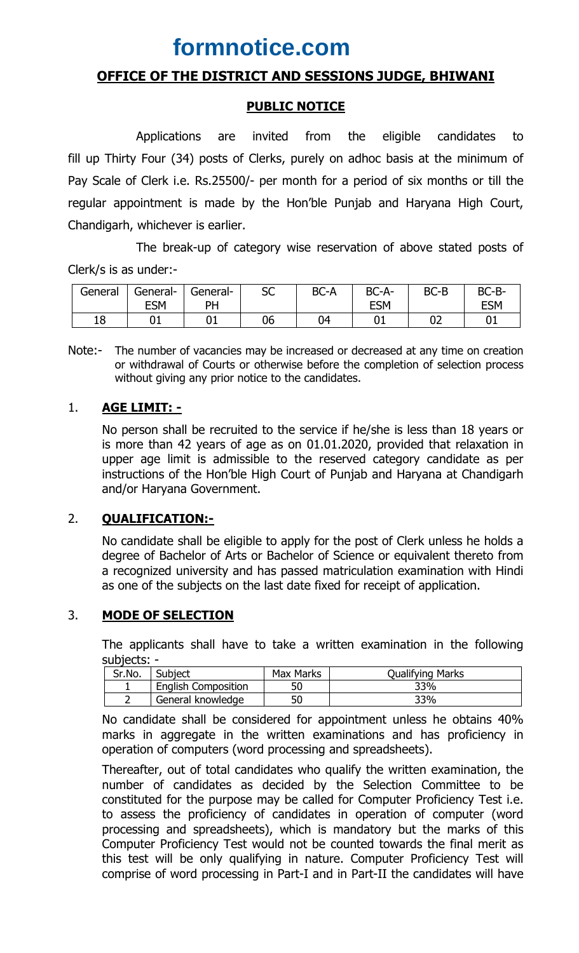# **formnotice.com**

# **OFFICE OF THE DISTRICT AND SESSIONS JUDGE, BHIWANI**

### **PUBLIC NOTICE**

Applications are invited from the eligible candidates to fill up Thirty Four (34) posts of Clerks, purely on adhoc basis at the minimum of Pay Scale of Clerk i.e. Rs.25500/- per month for a period of six months or till the regular appointment is made by the Hon'ble Punjab and Haryana High Court, Chandigarh, whichever is earlier.

The break-up of category wise reservation of above stated posts of Clerk/s is as under:-

| General | General-<br><b>ESM</b> | General-<br>DН | $\mathsf{c}\mathsf{c}$<br>эc | BC-A | BC-A-<br><b>ESM</b> | <b>BC-B</b> | BC-B-<br><b>ESM</b> |
|---------|------------------------|----------------|------------------------------|------|---------------------|-------------|---------------------|
| 18      | ◡⊥                     | ັັ             | 06                           | 04   | ◡∸                  | ∩¬<br>◡▵    | UÏ                  |

Note:- The number of vacancies may be increased or decreased at any time on creation or withdrawal of Courts or otherwise before the completion of selection process without giving any prior notice to the candidates.

# 1. **AGE LIMIT: -**

No person shall be recruited to the service if he/she is less than 18 years or is more than 42 years of age as on 01.01.2020, provided that relaxation in upper age limit is admissible to the reserved category candidate as per instructions of the Hon'ble High Court of Punjab and Haryana at Chandigarh and/or Haryana Government.

#### 2. **QUALIFICATION:-**

No candidate shall be eligible to apply for the post of Clerk unless he holds a degree of Bachelor of Arts or Bachelor of Science or equivalent thereto from a recognized university and has passed matriculation examination with Hindi as one of the subjects on the last date fixed for receipt of application.

#### 3. **MODE OF SELECTION**

The applicants shall have to take a written examination in the following subjects: -

| Sr.No. | Subject                    | Max Marks | Qualifying Marks |
|--------|----------------------------|-----------|------------------|
|        | <b>English Composition</b> | 50        | 33%              |
|        | General knowledge          | 50        | 33%              |

No candidate shall be considered for appointment unless he obtains 40% marks in aggregate in the written examinations and has proficiency in operation of computers (word processing and spreadsheets).

Thereafter, out of total candidates who qualify the written examination, the number of candidates as decided by the Selection Committee to be constituted for the purpose may be called for Computer Proficiency Test i.e. to assess the proficiency of candidates in operation of computer (word processing and spreadsheets), which is mandatory but the marks of this Computer Proficiency Test would not be counted towards the final merit as this test will be only qualifying in nature. Computer Proficiency Test will comprise of word processing in Part-I and in Part-II the candidates will have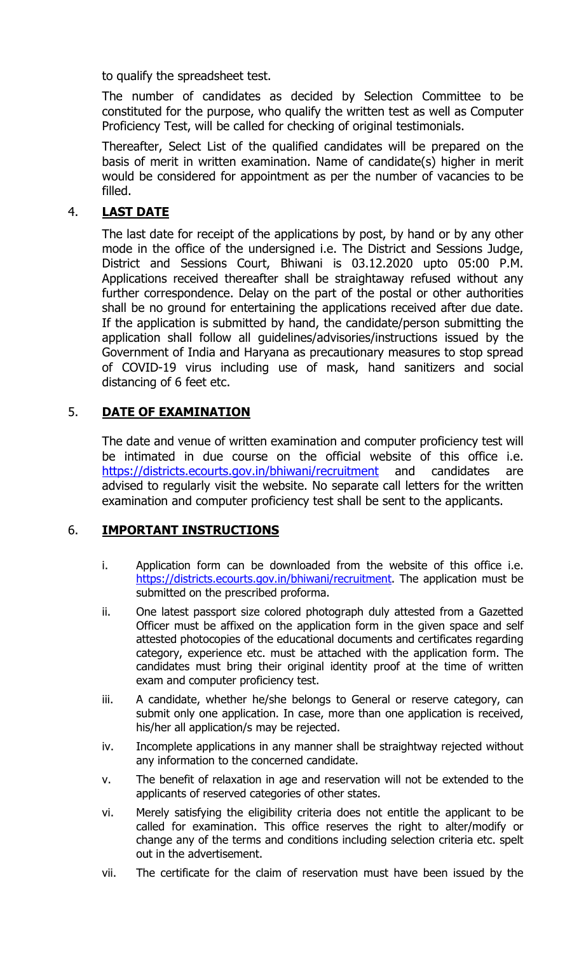to qualify the spreadsheet test.

The number of candidates as decided by Selection Committee to be constituted for the purpose, who qualify the written test as well as Computer Proficiency Test, will be called for checking of original testimonials.

Thereafter, Select List of the qualified candidates will be prepared on the basis of merit in written examination. Name of candidate(s) higher in merit would be considered for appointment as per the number of vacancies to be filled.

# 4. **LAST DATE**

The last date for receipt of the applications by post, by hand or by any other mode in the office of the undersigned i.e. The District and Sessions Judge, District and Sessions Court, Bhiwani is 03.12.2020 upto 05:00 P.M. Applications received thereafter shall be straightaway refused without any further correspondence. Delay on the part of the postal or other authorities shall be no ground for entertaining the applications received after due date. If the application is submitted by hand, the candidate/person submitting the application shall follow all guidelines/advisories/instructions issued by the Government of India and Haryana as precautionary measures to stop spread of COVID-19 virus including use of mask, hand sanitizers and social distancing of 6 feet etc.

# 5. **DATE OF EXAMINATION**

The date and venue of written examination and computer proficiency test will be intimated in due course on the official website of this office i.e. https://districts.ecourts.gov.in/bhiwani/recruitment and candidates are advised to regularly visit the website. No separate call letters for the written examination and computer proficiency test shall be sent to the applicants.

# 6. **IMPORTANT INSTRUCTIONS**

- i. Application form can be downloaded from the website of this office i.e. https://districts.ecourts.gov.in/bhiwani/recruitment. The application must be submitted on the prescribed proforma.
- ii. One latest passport size colored photograph duly attested from a Gazetted Officer must be affixed on the application form in the given space and self attested photocopies of the educational documents and certificates regarding category, experience etc. must be attached with the application form. The candidates must bring their original identity proof at the time of written exam and computer proficiency test.
- iii. A candidate, whether he/she belongs to General or reserve category, can submit only one application. In case, more than one application is received, his/her all application/s may be rejected.
- iv. Incomplete applications in any manner shall be straightway rejected without any information to the concerned candidate.
- v. The benefit of relaxation in age and reservation will not be extended to the applicants of reserved categories of other states.
- vi. Merely satisfying the eligibility criteria does not entitle the applicant to be called for examination. This office reserves the right to alter/modify or change any of the terms and conditions including selection criteria etc. spelt out in the advertisement.
- vii. The certificate for the claim of reservation must have been issued by the